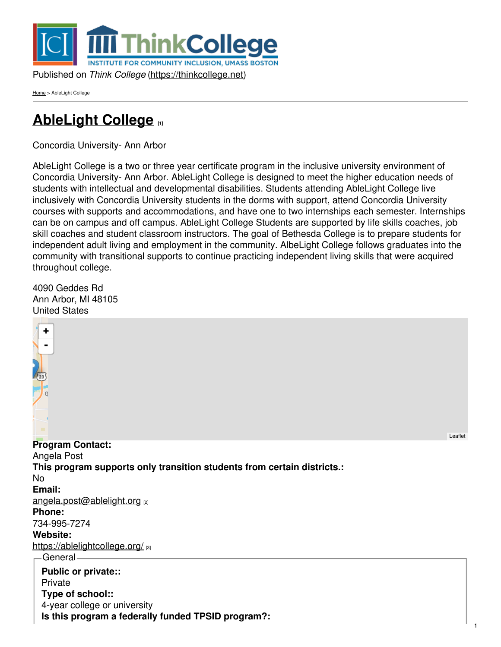

[Home](https://thinkcollege.net/) > AbleLight College

# **[AbleLight](https://thinkcollege.net/programs/ablelight-college) College [1]**

Concordia University- Ann Arbor

AbleLight College is a two or three year certificate program in the inclusive university environment of Concordia University- Ann Arbor. AbleLight College is designed to meet the higher education needs of students with intellectual and developmental disabilities. Students attending AbleLight College live inclusively with Concordia University students in the dorms with support, attend Concordia University courses with supports and accommodations, and have one to two internships each semester. Internships can be on campus and off campus. AbleLight College Students are supported by life skills coaches, job skill coaches and student classroom instructors. The goal of Bethesda College is to prepare students for independent adult living and employment in the community. AlbeLight College follows graduates into the community with transitional supports to continue practicing independent living skills that were acquired throughout college.

4090 Geddes Rd Ann Arbor, MI 48105 United States



1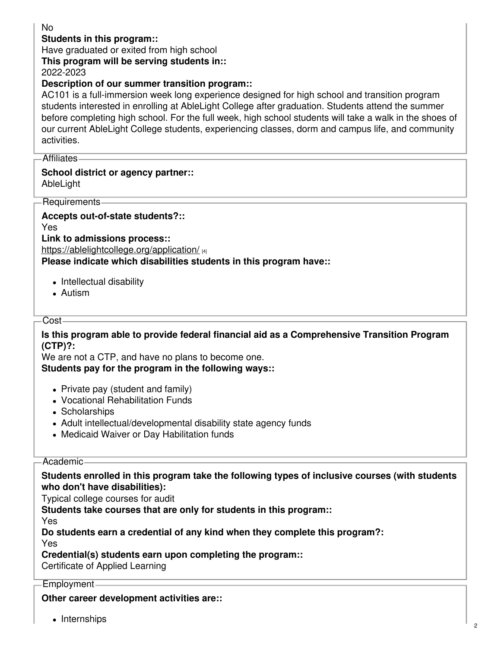## No

#### **Students in this program::**

Have graduated or exited from high school

**This program will be serving students in::**

2022-2023

#### **Description of our summer transition program::**

AC101 is a full-immersion week long experience designed for high school and transition program students interested in enrolling at AbleLight College after graduation. Students attend the summer before completing high school. For the full week, high school students will take a walk in the shoes of our current AbleLight College students, experiencing classes, dorm and campus life, and community activities.

Affiliates

#### **School district or agency partner::** AbleLight

Requirements

**Accepts out-of-state students?::** Yes

**Link to admissions process::**

<https://ablelightcollege.org/application/> [4]

**Please indicate which disabilities students in this program have::**

- Intellectual disability
- Autism

#### Cost-

**Is this program able to provide federal financial aid as a Comprehensive Transition Program (CTP)?:**

We are not a CTP, and have no plans to become one. **Students pay for the program in the following ways::**

- Private pay (student and family)
- Vocational Rehabilitation Funds
- Scholarships
- Adult intellectual/developmental disability state agency funds
- Medicaid Waiver or Day Habilitation funds

#### Academic

#### **Students enrolled in this program take the following types of inclusive courses (with students who don't have disabilities):**

Typical college courses for audit

**Students take courses that are only for students in this program::**

Yes

**Do students earn a credential of any kind when they complete this program?:**

Yes

**Credential(s) students earn upon completing the program::**

Certificate of Applied Learning

#### Employment

**Other career development activities are::**

• Internships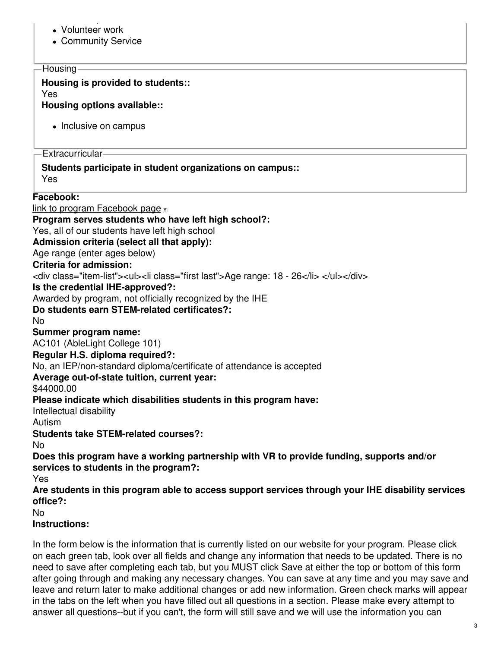- Internships Volunteer work
- Community Service

#### **Housing**

#### **Housing is provided to students::**

Yes

**Housing options available::**

• Inclusive on campus

Extracurricular

# **Students participate in student organizations on campus::**

Yes

# **Facebook:**

link to program [Facebook](https://www.facebook.com/AbleLightCollegeCUAA) page  $_{[5]}$ **Program serves students who have left high school?:** Yes, all of our students have left high school **Admission criteria (select all that apply):** Age range (enter ages below)

## **Criteria for admission:**

<div class="item-list"><ul><li class="first last">Age range: 18 - 26</li> </ul></div>

# **Is the credential IHE-approved?:**

Awarded by program, not officially recognized by the IHE

# **Do students earn STEM-related certificates?:**

No

# **Summer program name:**

AC101 (AbleLight College 101)

## **Regular H.S. diploma required?:**

No, an IEP/non-standard diploma/certificate of attendance is accepted

## **Average out-of-state tuition, current year:**

# \$44000.00

# **Please indicate which disabilities students in this program have:**

Intellectual disability

Autism

# **Students take STEM-related courses?:**

No

## **Does this program have a working partnership with VR to provide funding, supports and/or services to students in the program?:**

Yes

**Are students in this program able to access support services through your IHE disability services office?:**

No

## **Instructions:**

In the form below is the information that is currently listed on our website for your program. Please click on each green tab, look over all fields and change any information that needs to be updated. There is no need to save after completing each tab, but you MUST click Save at either the top or bottom of this form after going through and making any necessary changes. You can save at any time and you may save and leave and return later to make additional changes or add new information. Green check marks will appear in the tabs on the left when you have filled out all questions in a section. Please make every attempt to answer all questions--but if you can't, the form will still save and we will use the information you can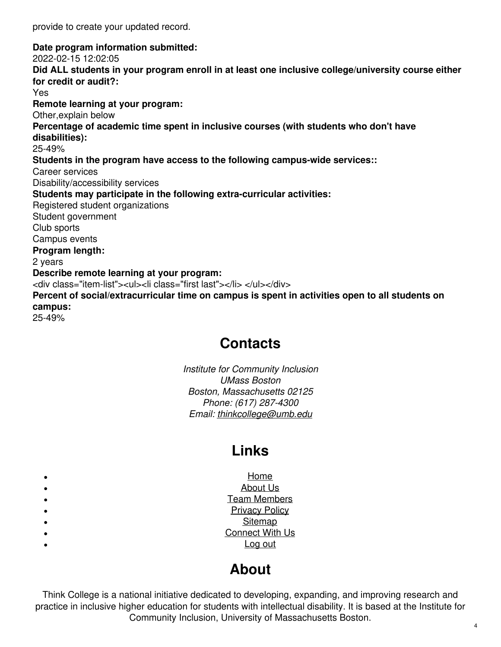provide to create your updated record.

**Date program information submitted:**

2022-02-15 12:02:05

**Did ALL students in your program enroll in at least one inclusive college/university course either for credit or audit?:**

Yes

**Remote learning at your program:**

Other,explain below

**Percentage of academic time spent in inclusive courses (with students who don't have**

**disabilities):**

25-49%

**Students in the program have access to the following campus-wide services::**

Career services

Disability/accessibility services

**Students may participate in the following extra-curricular activities:**

Registered student organizations

Student government

Club sports

Campus events

#### **Program length:**

2 years

#### **Describe remote learning at your program:**

<div class="item-list"><ul><li class="first last"></li> </ul></div>

**Percent of social/extracurricular time on campus is spent in activities open to all students on campus:**

25-49%

# **Contacts**

*Institute for Community Inclusion UMass Boston Boston, Massachusetts 02125 Phone: (617) 287-4300 Email: [thinkcollege@umb.edu](mailto:thinkcollege@umb.edu)*

# **Links**

[Home](https://thinkcollege.net/) [About](https://thinkcollege.net/about/what-is-think-college) Us Team [Members](https://thinkcollege.net/about/think-college-staff) [Privacy](https://thinkcollege.net/privacy-policy) Policy **[Sitemap](https://thinkcollege.net/site-map)** [Connect](https://thinkcollege.net/about/connect-with-us) With Us [Log](https://thinkcollege.net/user/logout) out

# **About**

Think College is a national initiative dedicated to developing, expanding, and improving research and practice in inclusive higher education for students with intellectual disability. It is based at the Institute for Community Inclusion, University of Massachusetts Boston.